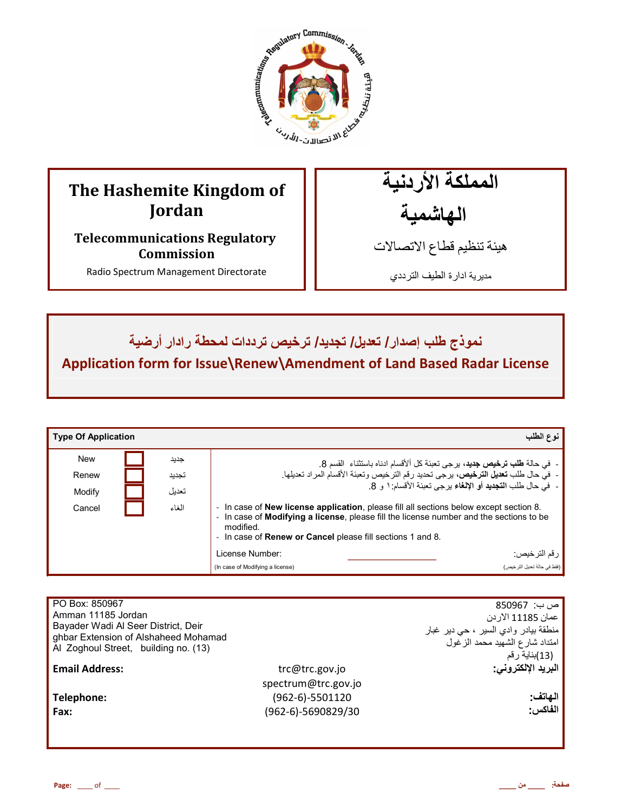

# **The Hashemite Kingdom of Jordan**

**Telecommunications Regulatory Commission** 

Radio Spectrum Management Directorate

المملكة الأردنية الـهاشمية

هيئة تنظيم قطاع الاتصـالات

مديرية ادارة الطيف الترددي

# $I$ نموذج طلب إصدار **I تعديل/ تجديد/ ترخيص** ترددات لمحطة رادار أرضية

**Application form for Issue\Renew\Amendment of Land Based Radar License**

| <b>Type Of Application</b> |                                                                                                                                                                                                                                                                                      |                                                                                    | نوع الطلب                                                                    |
|----------------------------|--------------------------------------------------------------------------------------------------------------------------------------------------------------------------------------------------------------------------------------------------------------------------------------|------------------------------------------------------------------------------------|------------------------------------------------------------------------------|
| <b>New</b>                 | جديد                                                                                                                                                                                                                                                                                 |                                                                                    | -  في حالة طلب ترخيص جديد، برجي تعبئة كل ألأقسام ادناه باستثناء  القسم 8.    |
| Renew                      | تجديد                                                                                                                                                                                                                                                                                | -  في حال طلب تعديل الترخيص، يرجى تحديد رقم الترخيص وتعبئة الأقسام المراد تعديلها. |                                                                              |
| Modify                     | تعديل                                                                                                                                                                                                                                                                                |                                                                                    | -  في حال طلب ا <b>لتجديد</b> أو الإ <b>لغ</b> اء برجي تعبئة الأقسام: ١ و 8. |
| Cancel                     | - In case of <b>New license application</b> , please fill all sections below except section 8.<br>الغاء<br>- In case of Modifying a license, please fill the license number and the sections to be<br>modified.<br>- In case of <b>Renew or Cancel</b> please fill sections 1 and 8. |                                                                                    |                                                                              |
|                            |                                                                                                                                                                                                                                                                                      | License Number:                                                                    | ر قم التر خيص:                                                               |
|                            |                                                                                                                                                                                                                                                                                      | (In case of Modifying a license)                                                   | (فقط في حالة تعديل التر خيص)                                                 |

| PO Box: 850967<br>Amman 11185 Jordan<br>Bayader Wadi Al Seer District, Deir<br>ghbar Extension of Alshaheed Mohamad<br>Al Zoghoul Street, building no. (13) |                     | ص ب:  850967<br>عمان 11185 الاردن<br>منطقة بيادر وادي السير ، حي دير غبار<br>امتداد شارع الشهيد محمد الزغول<br>(13)بناية رقم |
|-------------------------------------------------------------------------------------------------------------------------------------------------------------|---------------------|------------------------------------------------------------------------------------------------------------------------------|
| <b>Email Address:</b>                                                                                                                                       | trc@trc.gov.jo      | البريد الإلكتروني:                                                                                                           |
|                                                                                                                                                             | spectrum@trc.gov.jo |                                                                                                                              |
| Telephone:                                                                                                                                                  | (962-6)-5501120     | الهاتف:                                                                                                                      |
| Fax:                                                                                                                                                        | (962-6)-5690829/30  | الفاكس:                                                                                                                      |
|                                                                                                                                                             |                     |                                                                                                                              |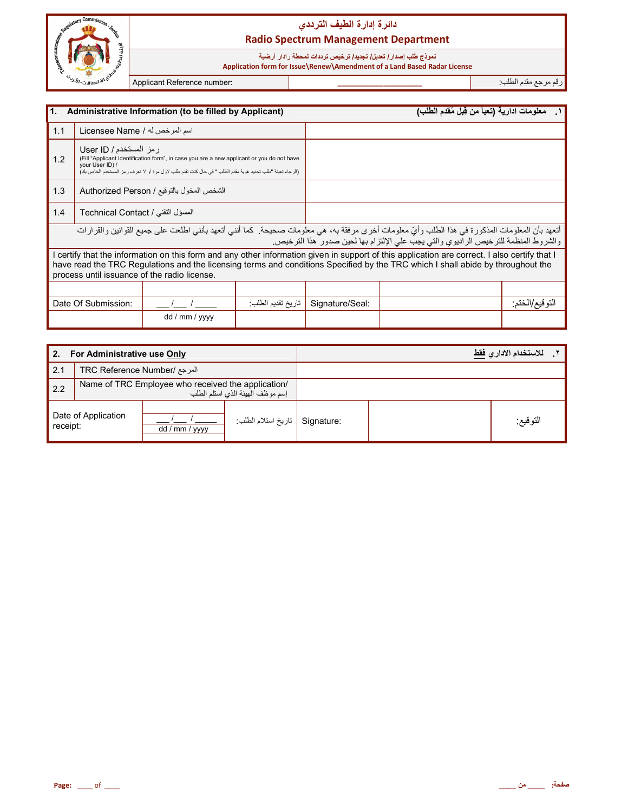

## دائرة إدارة الطيف التردد*ي* **Radio Spectrum Management Department**

#### نموذج طلب إصدار **/ تعديل/ تجديد/ ترخيص ترددات لمحطة ر\دار أرضية**

 **Application form for Issue\Renew\Amendment of a Land Based Radar License**

رم رf &دم اط\*ب: **\_\_\_\_\_\_\_\_\_\_\_\_\_\_\_\_\_\_\_\_\_\_** :number Reference Applicant

| 1.<br>Administrative Information (to be filled by Applicant)                                                                                                                                                                                                                                                                   |                                   |                                           |                    | معلومات ادارية (تعبأ من قِبل مُقدم الطلب) | $\overline{\phantom{a}}$                                                           |                 |
|--------------------------------------------------------------------------------------------------------------------------------------------------------------------------------------------------------------------------------------------------------------------------------------------------------------------------------|-----------------------------------|-------------------------------------------|--------------------|-------------------------------------------|------------------------------------------------------------------------------------|-----------------|
| 1.1                                                                                                                                                                                                                                                                                                                            | اسم المرخص له / Licensee Name     |                                           |                    |                                           |                                                                                    |                 |
| رمز المستخدم / User ID<br>(Fill "Applicant Identification form", in case you are a new applicant or you do not have<br>1.2<br>vour User ID) /<br>(الرجاء تعبئة "طلب تحديد هوية مقدم الطلب " في حال كنت تقدم طلب لأول مرة أو لا تعرف ر مز المستخدم الخاص بك)                                                                    |                                   |                                           |                    |                                           |                                                                                    |                 |
| 1.3                                                                                                                                                                                                                                                                                                                            |                                   | الشخص المخول بالتوقيع / Authorized Person |                    |                                           |                                                                                    |                 |
| 1.4                                                                                                                                                                                                                                                                                                                            | المسؤل التقني / Technical Contact |                                           |                    |                                           |                                                                                    |                 |
| أتعهد بأن المعلومات المذكورة في هذا الطلب وأيّ معلومات أخرى مرفقة به، هي معلومات صحيحة. كما أنني أتعهد بأنني اطلعت على جميع القوانين والقرارات                                                                                                                                                                                 |                                   |                                           |                    |                                           | والشروط المنظمة للترخيص الراديوي والتي يجب على الإلتزام بها لحين صدور هذا الترخيص. |                 |
| certify that the information on this form and any other information given in support of this application are correct. I also certify that I<br>have read the TRC Regulations and the licensing terms and conditions Specified by the TRC which I shall abide by throughout the<br>process until issuance of the radio license. |                                   |                                           |                    |                                           |                                                                                    |                 |
|                                                                                                                                                                                                                                                                                                                                |                                   |                                           |                    |                                           |                                                                                    |                 |
|                                                                                                                                                                                                                                                                                                                                | Date Of Submission:               |                                           | تاريخ تقديم الطلب: | Signature/Seal:                           |                                                                                    | التو قيع/الختم: |
|                                                                                                                                                                                                                                                                                                                                |                                   | dd / mm / yyyy                            |                    |                                           |                                                                                    |                 |

| For Administrative use Only<br>2. |                                                                                        |                |                    | للاستخدام الادار  فقط |          |
|-----------------------------------|----------------------------------------------------------------------------------------|----------------|--------------------|-----------------------|----------|
| 2.1                               | المرجع /TRC Reference Number                                                           |                |                    |                       |          |
| 2.2                               | Name of TRC Employee who received the application/<br>إسم موظف الهيئة الذى استلم الطلب |                |                    |                       |          |
| receipt:                          | Date of Application                                                                    | dd / mm / yyyy | تاريخ استلام الطلب | Signature:            | التوقيع: |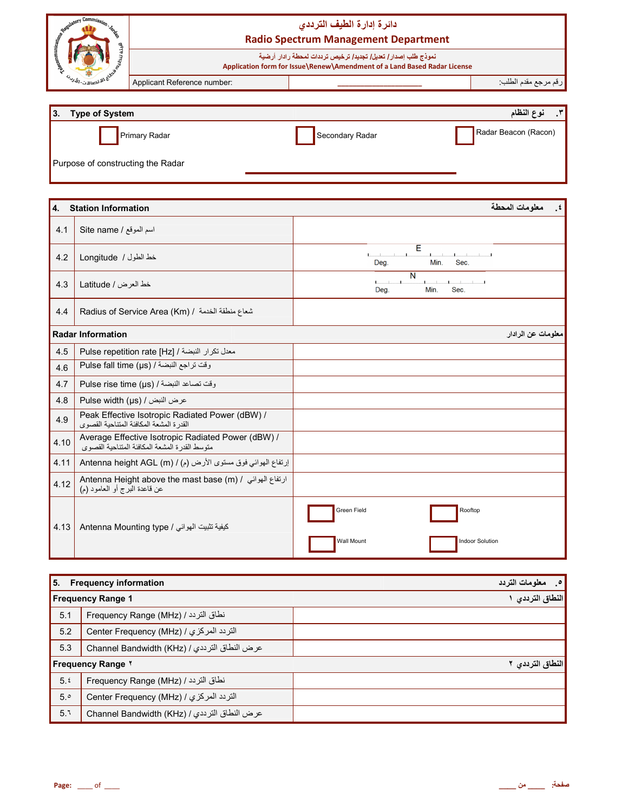|      | <b>Commission Commission Law</b>                                                                    | دائرة إدارة الطيف الترددى                                                                                                                 |
|------|-----------------------------------------------------------------------------------------------------|-------------------------------------------------------------------------------------------------------------------------------------------|
|      |                                                                                                     | <b>Radio Spectrum Management Department</b>                                                                                               |
|      |                                                                                                     | نموذج طلب إصدار/ تعديل/ تجديد/ ترخيص ترددات لمحطة رادار أرضية<br>Application form for Issue\Renew\Amendment of a Land Based Radar License |
|      | للاقتصالات- <i>الل</i> م<br>Applicant Reference number:                                             | رقم مرجع مقدم الطلب                                                                                                                       |
|      |                                                                                                     |                                                                                                                                           |
| 3.   | <b>Type of System</b>                                                                               | نوع النظام<br>$\cdot^{\star}$                                                                                                             |
|      | <b>Primary Radar</b>                                                                                | Radar Beacon (Racon)<br>Secondary Radar                                                                                                   |
|      | Purpose of constructing the Radar                                                                   |                                                                                                                                           |
|      |                                                                                                     |                                                                                                                                           |
| 4.   | <b>Station Information</b>                                                                          | ٤ <sub>.</sub> معلومات المحطة                                                                                                             |
| 4.1  | اسم الموقع / Site name                                                                              |                                                                                                                                           |
| 4.2  | خط الطول / Longitude                                                                                | Ε<br>$\mathbf{I}$<br>$\mathbf{1}$ and $\mathbf{1}$ and $\mathbf{1}$<br>Deg.<br>Min.<br>Sec.                                               |
| 4.3  | خط العرض / Latitude                                                                                 | N<br>Min.<br>Sec.<br>Deg.                                                                                                                 |
| 4.4  | Radius of Service Area (Km) / شعاع منطقة الخدمة /                                                   |                                                                                                                                           |
|      | <b>Radar Information</b>                                                                            | معلومات عن الرادار                                                                                                                        |
| 4.5  | Pulse repetition rate [Hz] / المعدل تكرار النبضة /                                                  |                                                                                                                                           |
| 4.6  | وقت تراجع النبضة / Pulse fall time (µs)                                                             |                                                                                                                                           |
| 4.7  | وقت تصاعد النبضة / Pulse rise time (µs)                                                             |                                                                                                                                           |
| 4.8  | Pulse width (µs) / عرض النبض /                                                                      |                                                                                                                                           |
| 4.9  | Peak Effective Isotropic Radiated Power (dBW) /<br>القدرة المشعة المكافئة المتناحية القصوى          |                                                                                                                                           |
| 4.10 | Average Effective Isotropic Radiated Power (dBW) /<br>متوسط القدرة المشعة المكافئة المتناحية القصوى |                                                                                                                                           |
| 4.11 | إرتفاع الهوائي فوق مستوى الأرض (م) / Antenna height AGL (m)                                         |                                                                                                                                           |
| 4.12 | Antenna Height above the mast base (m) / ارتفاع الهوائي /<br>عن قاعدة البرج أو العامود (م)          |                                                                                                                                           |
| 4.13 | Antenna Mounting type / كيفية تثبيت الهوائي                                                         | Green Field<br>Rooftop<br>Wall Mount<br><b>Indoor Solution</b>                                                                            |
|      |                                                                                                     |                                                                                                                                           |

|     | 5. Frequency information                     | 0 _ معلومات التردد |
|-----|----------------------------------------------|--------------------|
|     | <b>Frequency Range 1</b>                     | النطاق الترددي ا   |
| 5.1 | نطاق التردد / Frequency Range (MHz)          |                    |
| 5.2 | التردد المركزي / (Center Frequency (MHz      |                    |
| 5.3 | عرض النطاق الترددي / Channel Bandwidth (KHz) |                    |
|     | <b>Frequency Range Y</b>                     | النطاق الترددي ٢   |
| 5.5 | نطاق التردد / Frequency Range (MHz)          |                    |
| 5°  | التردد المركزي / (Center Frequency (MHz      |                    |
| 5.1 | عرض النطاق الترددي / Channel Bandwidth (KHz) |                    |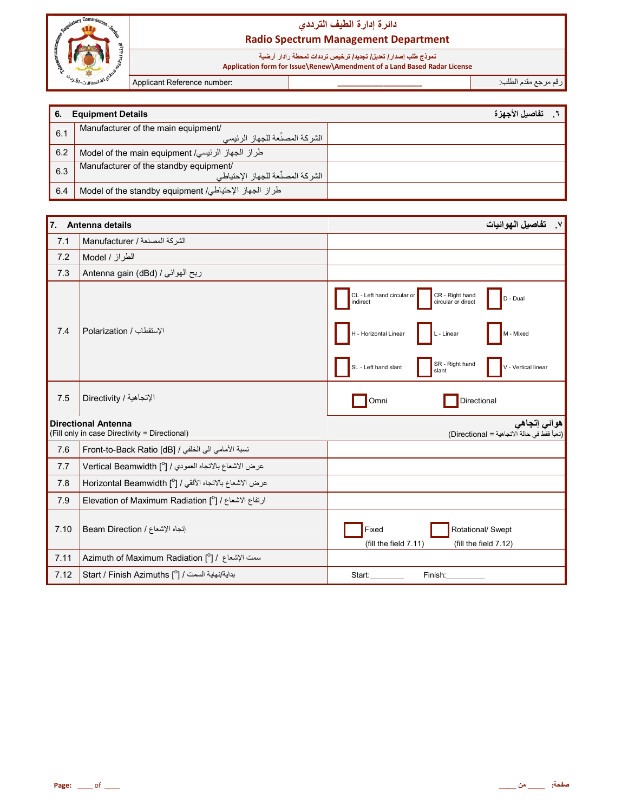

## دائرة إدارة الطيف الترددي **Radio Spectrum Management Department**

نعوذج طلب إصدار/ تعيل/ تجديد/ ترخيص ترددات لمحطة رادار أرضية<br>Application form for Issue\Renew\Amendment of a Land Based Radar License

Applicant Reference number:

رقم مرجع مقدم الطلب:

| -6. | <b>Equipment Details</b>                              | تفاصيل الأجهز ة |
|-----|-------------------------------------------------------|-----------------|
| 6.1 | Manufacturer of the main equipment/                   |                 |
|     | ، الشر كة المصنِّعة للجهاز الرئيسي                    |                 |
| 6.2 | طراز الجهاز الرئيسي/ Model of the main equipment      |                 |
| 6.3 | Manufacturer of the standby equipment/                |                 |
|     | الشركة المصنِّعة للجهاز الإحتياطي                     |                 |
| 6.4 | طراز الجهاز الإحتياطي/ Model of the standby equipment |                 |

| 7.   | Antenna details                                                             | ٧. تفاصيل الهوائيات                                                                                                                                                                                                    |
|------|-----------------------------------------------------------------------------|------------------------------------------------------------------------------------------------------------------------------------------------------------------------------------------------------------------------|
| 7.1  | الشركة المصنعة / Manufacturer                                               |                                                                                                                                                                                                                        |
| 7.2  | الطراز / Model                                                              |                                                                                                                                                                                                                        |
| 7.3  | ربح الهوائي / Antenna gain (dBd)                                            |                                                                                                                                                                                                                        |
| 7.4  | الإستقطاب / Polarization                                                    | CL - Left hand circular or<br>CR - Right hand<br>D - Dual<br>indirect<br>circular or direct<br>- Horizontal Linear<br>L - Linear<br>- Mixed<br>SR - Right hand<br>SL - Left hand slant<br>V - Vertical linear<br>slant |
| 7.5  | الإتجاهية / Directivity                                                     | Directional<br>Omni                                                                                                                                                                                                    |
|      | <b>Directional Antenna</b><br>(Fill only in case Directivity = Directional) | هو ائ <i>ی</i> إتجاه <i>ی</i><br>(تعبأ فقط في حالة الاتجاهية = Directional)                                                                                                                                            |
| 7.6  | نسبة الأمامي الى الخلفي / Front-to-Back Ratio [dB]                          |                                                                                                                                                                                                                        |
| 7.7  | عرض الاشعاع بالاتجاه العمودي / [ <sup>0</sup> ] Vertical Beamwidth          |                                                                                                                                                                                                                        |
| 7.8  | عرض الاشعاع بالاتجاه الأفقي / [ <sup>0</sup> ] Horizontal Beamwidth         |                                                                                                                                                                                                                        |
| 7.9  | ارتفاع الاشعاع / [ <sup>0</sup> ] Elevation of Maximum Radiation            |                                                                                                                                                                                                                        |
| 7.10 | إتجاه الإشعاع / Beam Direction                                              | Fixed<br>Rotational/ Swept<br>(fill the field 7.11)<br>(fill the field 7.12)                                                                                                                                           |
| 7.11 | Azimuth of Maximum Radiation [ $^{\circ}$ ] / اسمت الإشعاع                  |                                                                                                                                                                                                                        |
| 7.12 | بداية/نهاية السمت / Start / Finish Azimuths [°] /                           | Start:<br>Finish:                                                                                                                                                                                                      |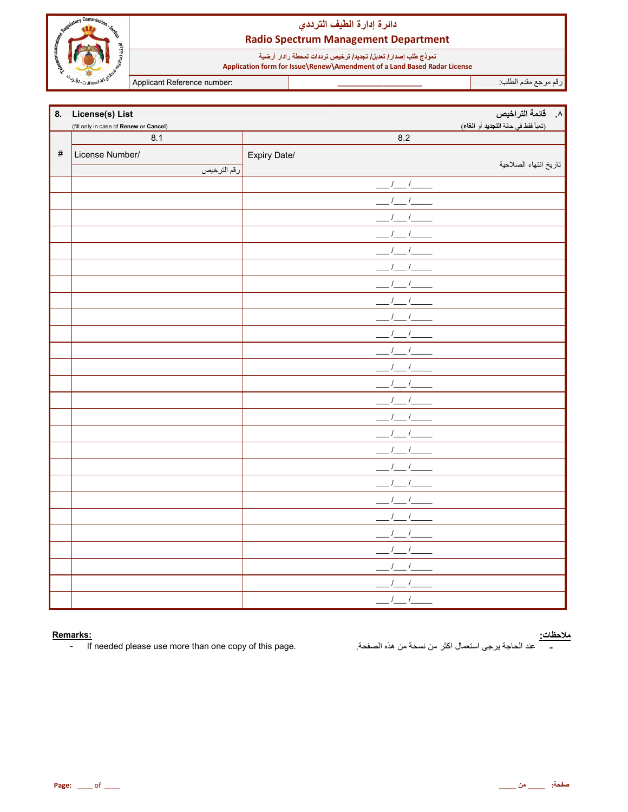

## دائرة إدارة الطيف الترددي **Radio Spectrum Management Department**

نعوذج طلب إصدار/ تعليل/ تجديد/ ترخيص ترددات لمحطة رادار أرضية<br>Application form for Issue\Renew\Amendment of a Land Based Radar License

Applicant Reference number:

رقم مرجع مقدم الطلب

| 8.   | License(s) List                        |                        | <mark>ا القائمة التراخيص </mark>    |
|------|----------------------------------------|------------------------|-------------------------------------|
|      | (fill only in case of Renew or Cancel) |                        | (تعبأ فقط في حالة التجديد أو الغاء) |
|      | 8.1                                    | 8.2                    |                                     |
| $\#$ | License Number/                        | Expiry Date/           |                                     |
|      | رقم الترخيص                            |                        | تاريخ انتهاء الصلاحية               |
|      |                                        | $\sqrt{2}$<br>$\prime$ |                                     |
|      |                                        |                        |                                     |
|      |                                        |                        |                                     |
|      |                                        |                        |                                     |
|      |                                        |                        |                                     |
|      |                                        |                        |                                     |
|      |                                        |                        |                                     |
|      |                                        |                        |                                     |
|      |                                        |                        |                                     |
|      |                                        |                        |                                     |
|      |                                        |                        |                                     |
|      |                                        |                        |                                     |
|      |                                        |                        |                                     |
|      |                                        |                        |                                     |
|      |                                        |                        |                                     |
|      |                                        |                        |                                     |
|      |                                        |                        |                                     |
|      |                                        |                        |                                     |
|      |                                        |                        |                                     |
|      |                                        |                        |                                     |
|      |                                        |                        |                                     |
|      |                                        |                        |                                     |
|      |                                        |                        |                                     |
|      |                                        |                        |                                     |
|      |                                        |                        |                                     |
|      |                                        |                        |                                     |

#### Remarks:

If needed please use more than one copy of this page.  $\pm$  .